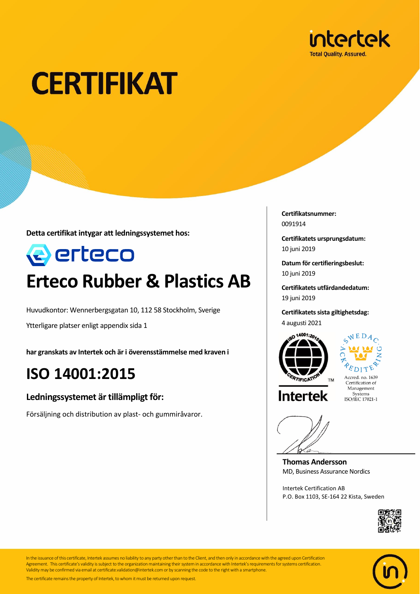

# **CERTIFIKAT**

**Detta certifikat intygar att ledningssystemet hos:**



## **Erteco Rubber & Plastics AB**

Huvudkontor: Wennerbergsgatan 10, 112 58 Stockholm, Sverige

Ytterligare platser enligt appendix sida 1

**har granskats av Intertek och är i överensstämmelse med kraven i**

### **ISO 14001:2015**

#### **Ledningssystemet är tillämpligt för:**

Försäljning och distribution av plast- och gummiråvaror.

**Certifikatsnummer:** 0091914

**Certifikatets ursprungsdatum:** 10 juni 2019

**Datum för certifieringsbeslut:** 10 juni 2019

**Certifikatets utfärdandedatum:** 19 juni 2019

**Certifikatets sista giltighetsdag:** 4 augusti 2021





Accred. no. 1639<br>Certification of Management Systems<br>ISO/IEC 17021-1

**Intertek** 

**Thomas Andersson** MD, Business Assurance Nordics

Intertek Certification AB P.O. Box 1103, SE-164 22 Kista, Sweden





In the issuance of this certificate, Intertek assumes no liability to any party other than to the Client, and then only in accordance with the agreed upon Certification Agreement. This certificate's validity is subject to the organization maintaining their system in accordance with Intertek's requirements for systems certification. Validity may be confirmed via email at certificate.validation@intertek.com or by scanning the code to the right with a smartphone.